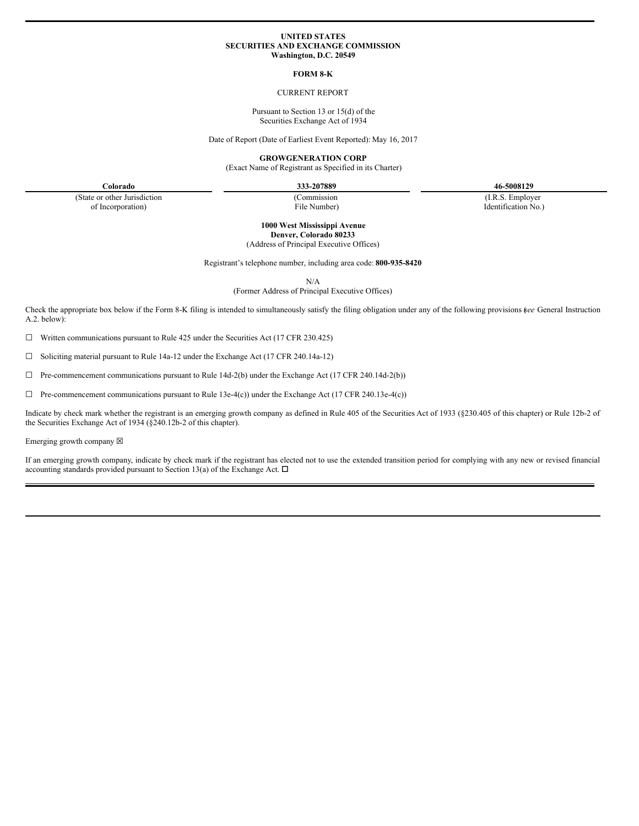#### **UNITED STATES SECURITIES AND EXCHANGE COMMISSION Washington, D.C. 20549**

## **FORM 8-K**

#### CURRENT REPORT

Pursuant to Section 13 or 15(d) of the Securities Exchange Act of 1934

Date of Report (Date of Earliest Event Reported): May 16, 2017

**GROWGENERATION CORP**

(Exact Name of Registrant as Specified in its Charter)

**Colorado 333-207889 46-5008129**

(State or other Jurisdiction of Incorporation)

(Commission File Number) (I.R.S. Employer

Identification No.)

**1000 West Mississippi Avenue Denver, Colorado 80233** (Address of Principal Executive Offices)

Registrant's telephone number, including area code: **800-935-8420**

N/A

(Former Address of Principal Executive Offices)

Check the appropriate box below if the Form 8-K filing is intended to simultaneously satisfy the filing obligation under any of the following provisions (*see* General Instruction A.2. below):

☐ Written communications pursuant to Rule 425 under the Securities Act (17 CFR 230.425)

☐ Soliciting material pursuant to Rule 14a-12 under the Exchange Act (17 CFR 240.14a-12)

☐ Pre-commencement communications pursuant to Rule 14d-2(b) under the Exchange Act (17 CFR 240.14d-2(b))

☐ Pre-commencement communications pursuant to Rule 13e-4(c)) under the Exchange Act (17 CFR 240.13e-4(c))

Indicate by check mark whether the registrant is an emerging growth company as defined in Rule 405 of the Securities Act of 1933 (§230.405 of this chapter) or Rule 12b-2 of the Securities Exchange Act of 1934 (§240.12b-2 of this chapter).

#### Emerging growth company  $\boxtimes$

If an emerging growth company, indicate by check mark if the registrant has elected not to use the extended transition period for complying with any new or revised financial accounting standards provided pursuant to Section 13(a) of the Exchange Act.  $\Box$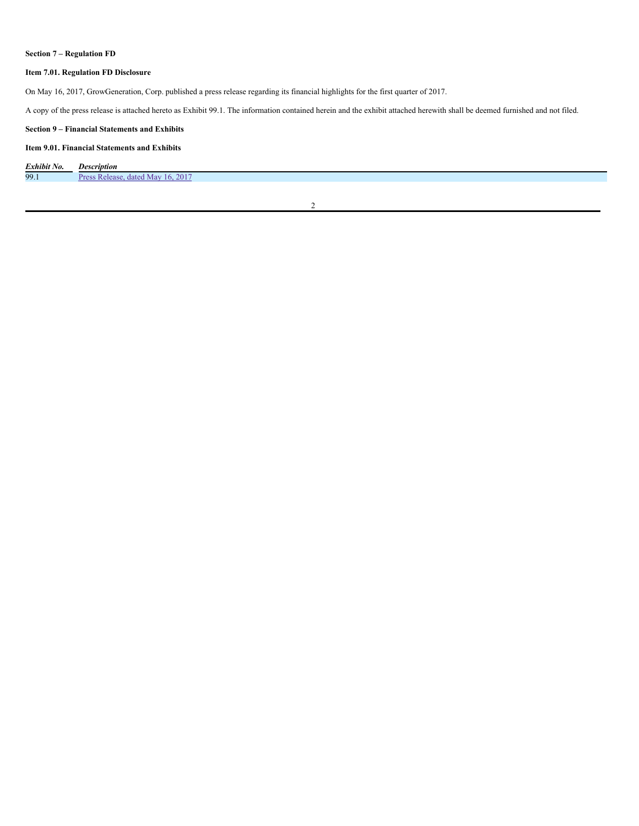# **Section 7 – Regulation FD**

## **Item 7.01. Regulation FD Disclosure**

On May 16, 2017, GrowGeneration, Corp. published a press release regarding its financial highlights for the first quarter of 2017.

A copy of the press release is attached hereto as Exhibit 99.1. The information contained herein and the exhibit attached herewith shall be deemed furnished and not filed.

### **Section 9 – Financial Statements and Exhibits**

## **Item 9.01. Financial Statements and Exhibits**

| Exhibit No. | <i>Description</i>                                            |
|-------------|---------------------------------------------------------------|
| 99.1        | .2017<br>Dro<br>$\cdot$ r Mav<br>dated<br>ase<br>$\mathbf{u}$ |

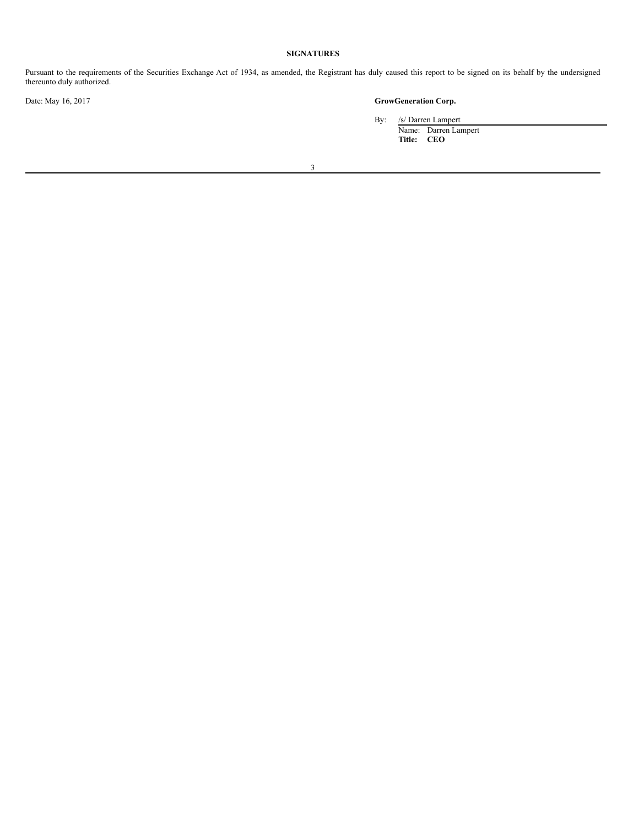# **SIGNATURES**

Pursuant to the requirements of the Securities Exchange Act of 1934, as amended, the Registrant has duly caused this report to be signed on its behalf by the undersigned thereunto duly authorized.

# Date: May 16, 2017 **GrowGeneration Corp.**

By: /s/ Darren Lampert

Name: Darren Lampert **Title: CEO**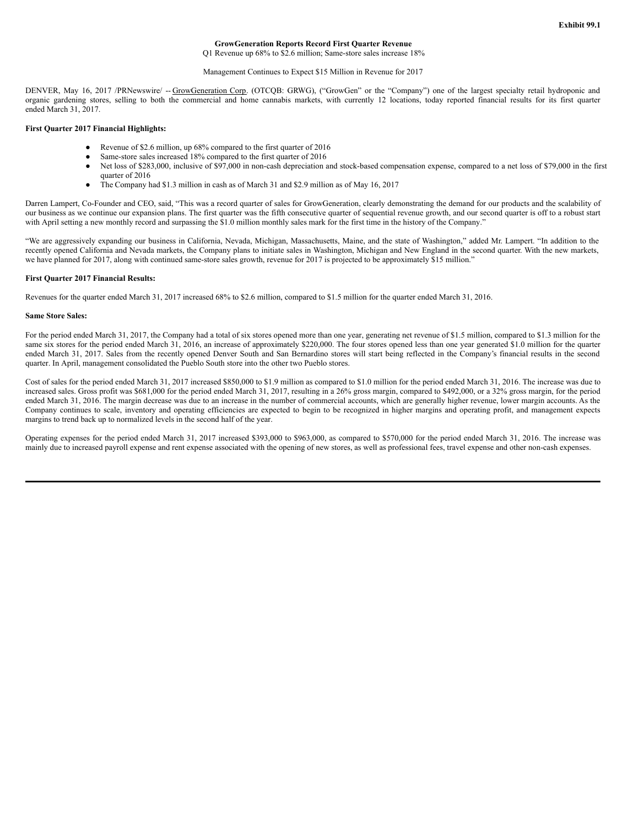### **GrowGeneration Reports Record First Quarter Revenue**

Q1 Revenue up 68% to \$2.6 million; Same-store sales increase 18%

#### Management Continues to Expect \$15 Million in Revenue for 2017

DENVER, May 16, 2017 /PRNewswire/ -- GrowGeneration Corp. (OTCQB: GRWG), ("GrowGen" or the "Company") one of the largest specialty retail hydroponic and organic gardening stores, selling to both the commercial and home cannabis markets, with currently 12 locations, today reported financial results for its first quarter ended March 31, 2017.

#### **First Quarter 2017 Financial Highlights:**

- Revenue of \$2.6 million, up 68% compared to the first quarter of 2016
- Same-store sales increased 18% compared to the first quarter of 2016
- Net loss of \$283,000, inclusive of \$97,000 in non-cash depreciation and stock-based compensation expense, compared to a net loss of \$79,000 in the first quarter of 2016
- The Company had \$1.3 million in cash as of March 31 and \$2.9 million as of May 16, 2017

Darren Lampert, Co-Founder and CEO, said, "This was a record quarter of sales for GrowGeneration, clearly demonstrating the demand for our products and the scalability of our business as we continue our expansion plans. The first quarter was the fifth consecutive quarter of sequential revenue growth, and our second quarter is off to a robust start with April setting a new monthly record and surpassing the \$1.0 million monthly sales mark for the first time in the history of the Company."

"We are aggressively expanding our business in California, Nevada, Michigan, Massachusetts, Maine, and the state of Washington," added Mr. Lampert. "In addition to the recently opened California and Nevada markets, the Company plans to initiate sales in Washington, Michigan and New England in the second quarter. With the new markets, we have planned for 2017, along with continued same-store sales growth, revenue for 2017 is projected to be approximately \$15 million."

#### **First Quarter 2017 Financial Results:**

Revenues for the quarter ended March 31, 2017 increased 68% to \$2.6 million, compared to \$1.5 million for the quarter ended March 31, 2016.

#### **Same Store Sales:**

For the period ended March 31, 2017, the Company had a total of six stores opened more than one year, generating net revenue of \$1.5 million, compared to \$1.3 million for the same six stores for the period ended March 31, 2016, an increase of approximately \$220,000. The four stores opened less than one year generated \$1.0 million for the quarter ended March 31, 2017. Sales from the recently opened Denver South and San Bernardino stores will start being reflected in the Company's financial results in the second quarter. In April, management consolidated the Pueblo South store into the other two Pueblo stores.

Cost of sales for the period ended March 31, 2017 increased \$850,000 to \$1.9 million as compared to \$1.0 million for the period ended March 31, 2016. The increase was due to increased sales. Gross profit was \$681,000 for the period ended March 31, 2017, resulting in a 26% gross margin, compared to \$492,000, or a 32% gross margin, for the period ended March 31, 2016. The margin decrease was due to an increase in the number of commercial accounts, which are generally higher revenue, lower margin accounts. As the Company continues to scale, inventory and operating efficiencies are expected to begin to be recognized in higher margins and operating profit, and management expects margins to trend back up to normalized levels in the second half of the year.

Operating expenses for the period ended March 31, 2017 increased \$393,000 to \$963,000, as compared to \$570,000 for the period ended March 31, 2016. The increase was mainly due to increased payroll expense and rent expense associated with the opening of new stores, as well as professional fees, travel expense and other non-cash expenses.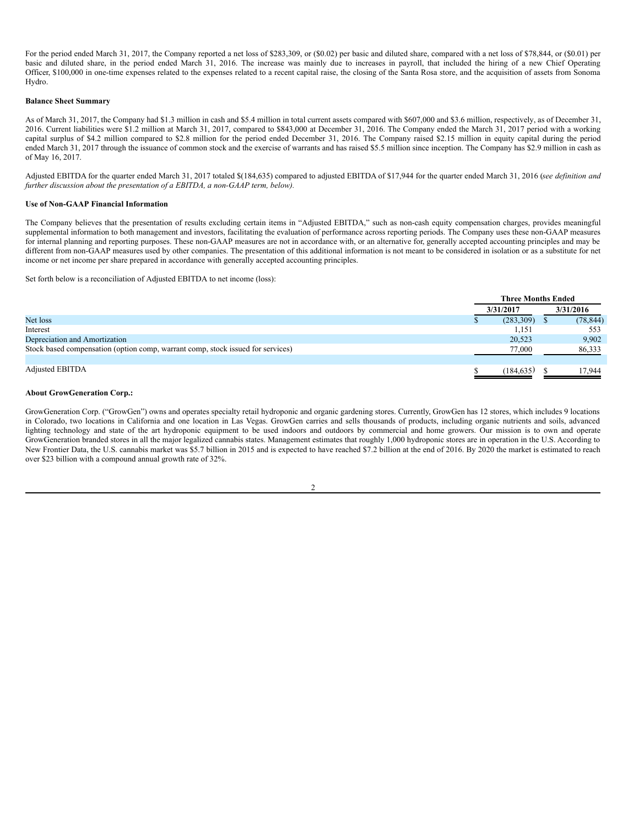For the period ended March 31, 2017, the Company reported a net loss of \$283,309, or (\$0.02) per basic and diluted share, compared with a net loss of \$78,844, or (\$0.01) per basic and diluted share, in the period ended March 31, 2016. The increase was mainly due to increases in payroll, that included the hiring of a new Chief Operating Officer, \$100,000 in one-time expenses related to the expenses related to a recent capital raise, the closing of the Santa Rosa store, and the acquisition of assets from Sonoma Hydro.

#### **Balance Sheet Summary**

As of March 31, 2017, the Company had \$1.3 million in cash and \$5.4 million in total current assets compared with \$607,000 and \$3.6 million, respectively, as of December 31, 2016. Current liabilities were \$1.2 million at March 31, 2017, compared to \$843,000 at December 31, 2016. The Company ended the March 31, 2017 period with a working capital surplus of \$4.2 million compared to \$2.8 million for the period ended December 31, 2016. The Company raised \$2.15 million in equity capital during the period ended March 31, 2017 through the issuance of common stock and the exercise of warrants and has raised \$5.5 million since inception. The Company has \$2.9 million in cash as of May 16, 2017.

Adjusted EBITDA for the quarter ended March 31, 2017 totaled \$(184,635) compared to adjusted EBITDA of \$17,944 for the quarter ended March 31, 2016 (*see definition and further discussion about the presentation of a EBITDA, a non-GAAP term, below).*

#### **Use of Non-GAAP Financial Information**

The Company believes that the presentation of results excluding certain items in "Adjusted EBITDA," such as non-cash equity compensation charges, provides meaningful supplemental information to both management and investors, facilitating the evaluation of performance across reporting periods. The Company uses these non-GAAP measures for internal planning and reporting purposes. These non-GAAP measures are not in accordance with, or an alternative for, generally accepted accounting principles and may be different from non-GAAP measures used by other companies. The presentation of this additional information is not meant to be considered in isolation or as a substitute for net income or net income per share prepared in accordance with generally accepted accounting principles.

Set forth below is a reconciliation of Adjusted EBITDA to net income (loss):

|                                                                                 |           | <b>Three Months Ended</b> |           |  |  |
|---------------------------------------------------------------------------------|-----------|---------------------------|-----------|--|--|
|                                                                                 | 3/31/2017 |                           | 3/31/2016 |  |  |
| Net loss                                                                        |           | (283, 309)                | (78, 844) |  |  |
| Interest                                                                        |           | 1,151                     | 553       |  |  |
| Depreciation and Amortization                                                   |           | 20.523                    | 9,902     |  |  |
| Stock based compensation (option comp, warrant comp, stock issued for services) |           | 77,000                    | 86,333    |  |  |
|                                                                                 |           |                           |           |  |  |
| <b>Adjusted EBITDA</b>                                                          |           | (184.635)                 | 17.944    |  |  |

#### **About GrowGeneration Corp.:**

GrowGeneration Corp. ("GrowGen") owns and operates specialty retail hydroponic and organic gardening stores. Currently, GrowGen has 12 stores, which includes 9 locations in Colorado, two locations in California and one location in Las Vegas. GrowGen carries and sells thousands of products, including organic nutrients and soils, advanced lighting technology and state of the art hydroponic equipment to be used indoors and outdoors by commercial and home growers. Our mission is to own and operate GrowGeneration branded stores in all the major legalized cannabis states. Management estimates that roughly 1,000 hydroponic stores are in operation in the U.S. According to New Frontier Data, the U.S. cannabis market was \$5.7 billion in 2015 and is expected to have reached \$7.2 billion at the end of 2016. By 2020 the market is estimated to reach over \$23 billion with a compound annual growth rate of 32%.

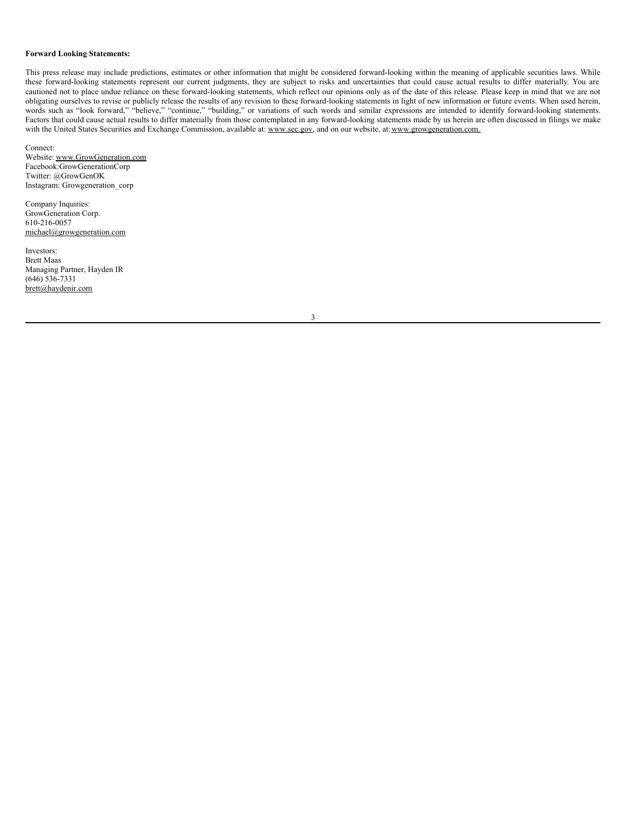### <span id="page-5-0"></span>**Forward Looking Statements:**

This press release may include predictions, estimates or other information that might be considered forward-looking within the meaning of applicable securities laws. While these forward-looking statements represent our current judgments, they are subject to risks and uncertainties that could cause actual results to differ materially. You are cautioned not to place undue reliance on these forward-looking statements, which reflect our opinions only as of the date of this release. Please keep in mind that we are not obligating ourselves to revise or publicly release the results of any revision to these forward-looking statements in light of new information or future events. When used herein, words such as "look forward," "believe," "continue," "building," or variations of such words and similar expressions are intended to identify forward-looking statements. Factors that could cause actual results to differ materially from those contemplated in any forward-looking statements made by us herein are often discussed in filings we make with the United States Securities and Exchange Commission, available at: www.sec.gov, and on our website, at: www.growgeneration.com.

Connect: Website: www.GrowGeneration.com Facebook:GrowGenerationCorp Twitter: @GrowGenOK Instagram: Growgeneration\_corp

Company Inquiries: GrowGeneration Corp. 610-216-0057 michael@growgeneration.com

Investors: Brett Maas Managing Partner, Hayden IR  $(646)$  536-7331 brett@haydenir.com

3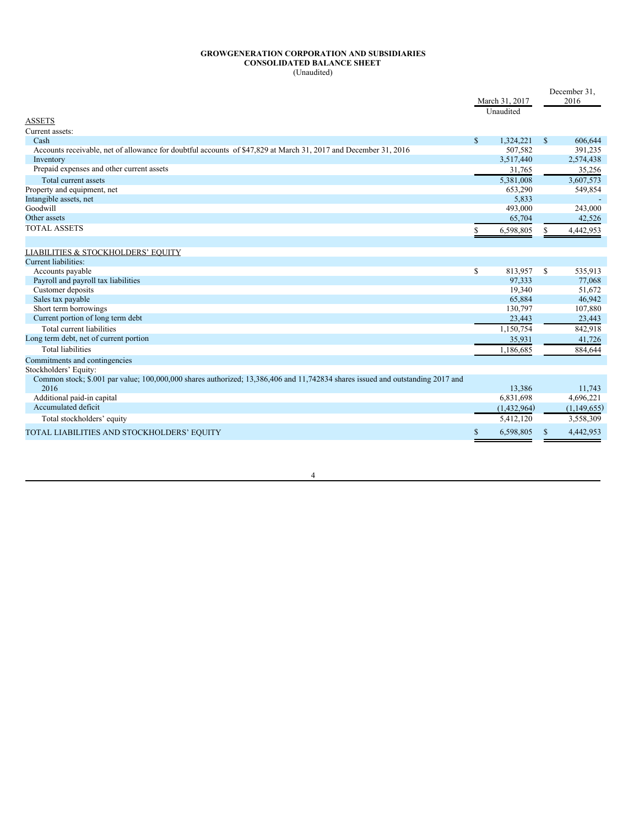#### **GROWGENERATION CORPORATION AND SUBSIDIARIES CONSOLIDATED BALANCE SHEET** (Unaudited)

|                                                                                                                                        |    | March 31, 2017<br>Unaudited |              | December 31,<br>2016 |
|----------------------------------------------------------------------------------------------------------------------------------------|----|-----------------------------|--------------|----------------------|
| <b>ASSETS</b>                                                                                                                          |    |                             |              |                      |
| Current assets:                                                                                                                        |    |                             |              |                      |
| Cash                                                                                                                                   | S  | 1.324.221                   | $\mathbf{s}$ | 606,644              |
| Accounts receivable, net of allowance for doubtful accounts of \$47,829 at March 31, 2017 and December 31, 2016                        |    | 507,582                     |              | 391,235              |
| Inventory                                                                                                                              |    | 3,517,440                   |              | 2,574,438            |
| Prepaid expenses and other current assets                                                                                              |    | 31,765                      |              | 35,256               |
| Total current assets                                                                                                                   |    | 5.381.008                   |              | 3,607,573            |
| Property and equipment, net                                                                                                            |    | 653,290                     |              | 549,854              |
| Intangible assets, net                                                                                                                 |    | 5,833                       |              |                      |
| Goodwill                                                                                                                               |    | 493,000                     |              | 243,000              |
| Other assets                                                                                                                           |    | 65,704                      |              | 42,526               |
| <b>TOTAL ASSETS</b>                                                                                                                    | S  | 6,598,805                   |              | 4,442,953            |
|                                                                                                                                        |    |                             |              |                      |
| <b>LIABILITIES &amp; STOCKHOLDERS' EQUITY</b>                                                                                          |    |                             |              |                      |
| Current liabilities:                                                                                                                   |    |                             |              |                      |
| Accounts payable                                                                                                                       | \$ | 813,957                     | $\mathbb{S}$ | 535,913              |
| Payroll and payroll tax liabilities                                                                                                    |    | 97.333                      |              | 77,068               |
| Customer deposits                                                                                                                      |    | 19,340                      |              | 51,672               |
| Sales tax payable                                                                                                                      |    | 65,884                      |              | 46,942               |
| Short term borrowings                                                                                                                  |    | 130,797                     |              | 107,880              |
| Current portion of long term debt                                                                                                      |    | 23,443                      |              | 23,443               |
| Total current liabilities                                                                                                              |    | 1,150,754                   |              | 842,918              |
| Long term debt, net of current portion                                                                                                 |    | 35,931                      |              | 41,726               |
| <b>Total liabilities</b>                                                                                                               |    | 1,186,685                   |              | 884,644              |
| Commitments and contingencies                                                                                                          |    |                             |              |                      |
| Stockholders' Equity:                                                                                                                  |    |                             |              |                      |
| Common stock; \$.001 par value; 100,000,000 shares authorized; 13,386,406 and 11,742834 shares issued and outstanding 2017 and<br>2016 |    | 13.386                      |              | 11.743               |
| Additional paid-in capital                                                                                                             |    | 6,831,698                   |              | 4,696,221            |
| Accumulated deficit                                                                                                                    |    | (1,432,964)                 |              | (1,149,655)          |
| Total stockholders' equity                                                                                                             |    | 5,412,120                   |              | 3,558,309            |
| TOTAL LIABILITIES AND STOCKHOLDERS' EQUITY                                                                                             | \$ | 6,598,805                   | \$           | 4,442,953            |

4